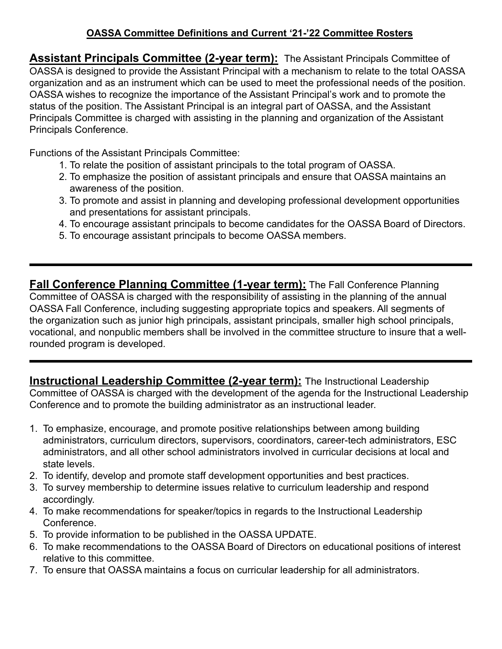## **OASSA Committee Definitions and Current '21-'22 Committee Rosters**

**Assistant Principals Committee (2-year term):** The Assistant Principals Committee of OASSA is designed to provide the Assistant Principal with a mechanism to relate to the total OASSA organization and as an instrument which can be used to meet the professional needs of the position. OASSA wishes to recognize the importance of the Assistant Principal's work and to promote the status of the position. The Assistant Principal is an integral part of OASSA, and the Assistant Principals Committee is charged with assisting in the planning and organization of the Assistant Principals Conference.

Functions of the Assistant Principals Committee:

- 1. To relate the position of assistant principals to the total program of OASSA.
- 2. To emphasize the position of assistant principals and ensure that OASSA maintains an awareness of the position.
- 3. To promote and assist in planning and developing professional development opportunities and presentations for assistant principals.
- 4. To encourage assistant principals to become candidates for the OASSA Board of Directors.
- 5. To encourage assistant principals to become OASSA members.

**Fall Conference Planning Committee (1-year term):** The Fall Conference Planning Committee of OASSA is charged with the responsibility of assisting in the planning of the annual OASSA Fall Conference, including suggesting appropriate topics and speakers. All segments of the organization such as junior high principals, assistant principals, smaller high school principals, vocational, and nonpublic members shall be involved in the committee structure to insure that a wellrounded program is developed.

**Instructional Leadership Committee (2-year term):** The Instructional Leadership Committee of OASSA is charged with the development of the agenda for the Instructional Leadership Conference and to promote the building administrator as an instructional leader.

- 1. To emphasize, encourage, and promote positive relationships between among building administrators, curriculum directors, supervisors, coordinators, career-tech administrators, ESC administrators, and all other school administrators involved in curricular decisions at local and state levels.
- 2. To identify, develop and promote staff development opportunities and best practices.
- 3. To survey membership to determine issues relative to curriculum leadership and respond accordingly.
- 4. To make recommendations for speaker/topics in regards to the Instructional Leadership Conference.
- 5. To provide information to be published in the OASSA UPDATE.
- 6. To make recommendations to the OASSA Board of Directors on educational positions of interest relative to this committee.
- 7. To ensure that OASSA maintains a focus on curricular leadership for all administrators.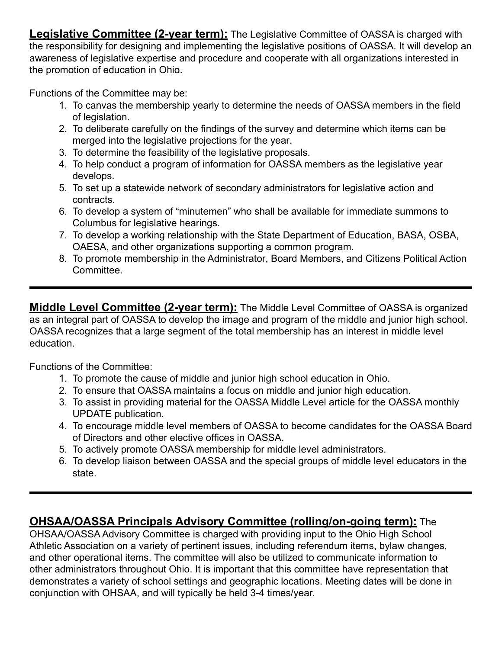**Legislative Committee (2-year term):** The Legislative Committee of OASSA is charged with the responsibility for designing and implementing the legislative positions of OASSA. It will develop an awareness of legislative expertise and procedure and cooperate with all organizations interested in the promotion of education in Ohio.

Functions of the Committee may be:

- 1. To canvas the membership yearly to determine the needs of OASSA members in the field of legislation.
- 2. To deliberate carefully on the findings of the survey and determine which items can be merged into the legislative projections for the year.
- 3. To determine the feasibility of the legislative proposals.
- 4. To help conduct a program of information for OASSA members as the legislative year develops.
- 5. To set up a statewide network of secondary administrators for legislative action and contracts.
- 6. To develop a system of "minutemen" who shall be available for immediate summons to Columbus for legislative hearings.
- 7. To develop a working relationship with the State Department of Education, BASA, OSBA, OAESA, and other organizations supporting a common program.
- 8. To promote membership in the Administrator, Board Members, and Citizens Political Action Committee.

**Middle Level Committee (2-year term):** The Middle Level Committee of OASSA is organized as an integral part of OASSA to develop the image and program of the middle and junior high school. OASSA recognizes that a large segment of the total membership has an interest in middle level education.

Functions of the Committee:

- 1. To promote the cause of middle and junior high school education in Ohio.
- 2. To ensure that OASSA maintains a focus on middle and junior high education.
- 3. To assist in providing material for the OASSA Middle Level article for the OASSA monthly UPDATE publication.
- 4. To encourage middle level members of OASSA to become candidates for the OASSA Board of Directors and other elective offices in OASSA.
- 5. To actively promote OASSA membership for middle level administrators.
- 6. To develop liaison between OASSA and the special groups of middle level educators in the state.

## **OHSAA/OASSA Principals Advisory Committee (rolling/on-going term):** The

OHSAA/OASSA Advisory Committee is charged with providing input to the Ohio High School Athletic Association on a variety of pertinent issues, including referendum items, bylaw changes, and other operational items. The committee will also be utilized to communicate information to other administrators throughout Ohio. It is important that this committee have representation that demonstrates a variety of school settings and geographic locations. Meeting dates will be done in conjunction with OHSAA, and will typically be held 3-4 times/year.